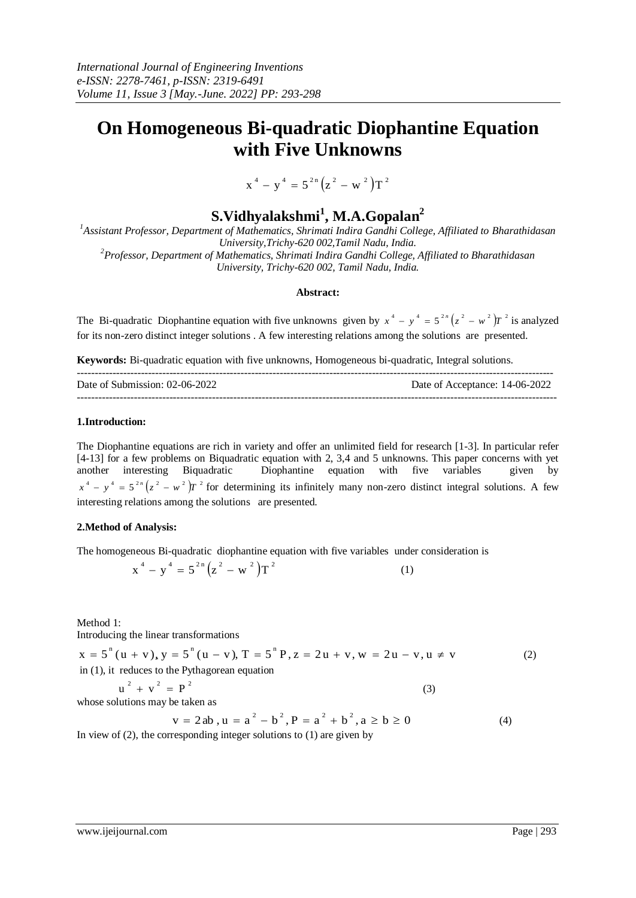# **On Homogeneous Bi-quadratic Diophantine Equation with Five Unknowns**

 $x^{4} - y^{4} = 5^{2n} (z^{2} - w^{2}) T^{2}$ 

# **S.Vidhyalakshmi<sup>1</sup> , M.A.Gopalan<sup>2</sup>**

*<sup>1</sup>Assistant Professor, Department of Mathematics, Shrimati Indira Gandhi College, Affiliated to Bharathidasan University,Trichy-620 002,Tamil Nadu, India.*

*<sup>2</sup>Professor, Department of Mathematics, Shrimati Indira Gandhi College, Affiliated to Bharathidasan University, Trichy-620 002, Tamil Nadu, India.*

#### **Abstract:**

The Bi-quadratic Diophantine equation with five unknowns given by  $x^4 - y^4 = 5^{2n} (z^2 - w^2) T^2$  is analyzed for its non-zero distinct integer solutions . A few interesting relations among the solutions are presented.

**Keywords:** Bi-quadratic equation with five unknowns, Homogeneous bi-quadratic, Integral solutions.

| Date of Submission: 02-06-2022 | Date of Acceptance: 14-06-2022 |
|--------------------------------|--------------------------------|
|                                |                                |

### **1.Introduction:**

The Diophantine equations are rich in variety and offer an unlimited field for research [1-3]. In particular refer [4-13] for a few problems on Biquadratic equation with 2, 3,4 and 5 unknowns. This paper concerns with yet another interesting Biquadratic Diophantine equation with five variables given by  $x^4 - y^4 = 5^{2n} (z^2 - w^2) T^2$  for determining its infinitely many non-zero distinct integral solutions. A few interesting relations among the solutions are presented.

### **2.Method of Analysis:**

The homogeneous Bi-quadratic diophantine equation with five variables under consideration is

$$
x^{4} - y^{4} = 5^{2n} (z^{2} - w^{2}) T^{2}
$$
 (1)

Method 1:

Introducing the linear transformations

$$
x = 5^{n} (u + v), y = 5^{n} (u - v), T = 5^{n} P, z = 2u + v, w = 2u - v, u \neq v
$$
  
in (1), it reduces to the Pythagorean equation  

$$
u^{2} + v^{2} = P^{2}
$$
 (3)

whose solutions may be taken as

$$
v = 2ab, u = a2 - b2, P = a2 + b2, a \ge b \ge 0
$$
 (4)

In view of (2), the corresponding integer solutions to (1) are given by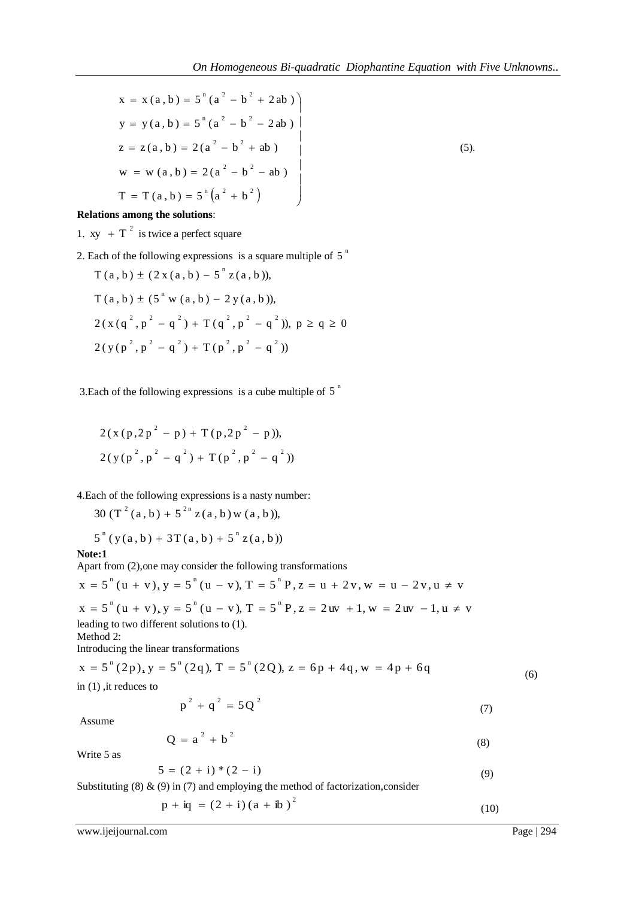$$
x = x (a, b) = 5^{n} (a^{2} - b^{2} + 2ab)
$$
  
\n
$$
y = y (a, b) = 5^{n} (a^{2} - b^{2} - 2ab)
$$
  
\n
$$
z = z (a, b) = 2(a^{2} - b^{2} + ab)
$$
  
\n
$$
w = w (a, b) = 2(a^{2} - b^{2} - ab)
$$
  
\n
$$
T = T (a, b) = 5^{n} (a^{2} + b^{2})
$$
  
\n(5)

## **Relations among the solutions**:

1. xy  $+T^2$  is twice a perfect square

2. Each of the following expressions is a square multiple of  $5<sup>n</sup>$ 

$$
T(a, b) \pm (2x(a, b) - 5^{n} z(a, b)),
$$
  
\n
$$
T(a, b) \pm (5^{n} w(a, b) - 2y(a, b)),
$$
  
\n
$$
2(x(q^{2}, p^{2} - q^{2}) + T(q^{2}, p^{2} - q^{2})), p \ge q \ge 0
$$
  
\n
$$
2(y(p^{2}, p^{2} - q^{2}) + T(p^{2}, p^{2} - q^{2}))
$$

3. Each of the following expressions is a cube multiple of  $5<sup>n</sup>$ 

$$
2(x (p, 2p2 - p) + T(p, 2p2 - p)),
$$
  

$$
2(y (p2, p2 - q2) + T(p2, p2 - q2))
$$

4.Each of the following expressions is a nasty number:

30 (T<sup>2</sup> (a, b) +  $5^{2n}$  z (a, b) w (a, b)),

$$
5^{n} (y(a,b) + 3T(a,b) + 5^{n} z(a,b))
$$

**Note:1**

Apart from (2),one may consider the following transformations

$$
x = 5^{n} (u + v)_{x} y = 5^{n} (u - v), T = 5^{n} P, z = u + 2v, w = u - 2v, u \neq v
$$
  

$$
x = 5^{n} (u + v)_{x} y = 5^{n} (u - v), T = 5^{n} P, z = 2uv + 1, w = 2uv - 1, u \neq v
$$
  
leading to two different solutions to (1).

Method 2:

Introducing the linear transformations

$$
x = 5^{n} (2p), y = 5^{n} (2q), T = 5^{n} (2Q), z = 6p + 4q, w = 4p + 6q
$$
  
in (1), it reduces to (6)

$$
p^2 + q^2 = 5Q^2 \tag{7}
$$

Assume

$$
Q = a2 + b2
$$
 (8)

Write 5 as

$$
5 = (2 + i) * (2 - i) \tag{9}
$$

Substituting  $(8)$  &  $(9)$  in  $(7)$  and employing the method of factorization, consider

$$
p + iq = (2 + i) (a + ib)^{2}
$$
 (10)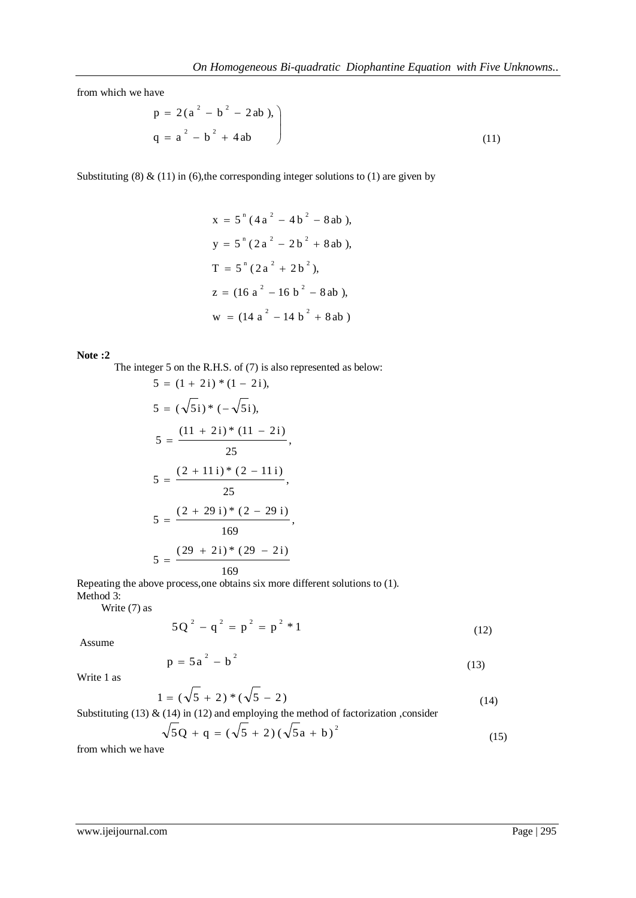from which we have

$$
p = 2(a2 - b2 - 2ab),
$$
  
q = a<sup>2</sup> - b<sup>2</sup> + 4ab (11)

Substituting (8)  $\&$  (11) in (6), the corresponding integer solutions to (1) are given by

$$
x = 5^{n} (4a^{2} - 4b^{2} - 8ab),
$$
  
\n
$$
y = 5^{n} (2a^{2} - 2b^{2} + 8ab),
$$
  
\n
$$
T = 5^{n} (2a^{2} + 2b^{2}),
$$
  
\n
$$
z = (16a^{2} - 16b^{2} - 8ab),
$$
  
\n
$$
w = (14a^{2} - 14b^{2} + 8ab)
$$

### **Note :2**

The integer 5 on the R.H.S. of (7) is also represented as below:

$$
5 = (1 + 2i) * (1 - 2i),
$$
  
\n
$$
5 = (\sqrt{5}i) * (-\sqrt{5}i),
$$
  
\n
$$
5 = \frac{(11 + 2i) * (11 - 2i)}{25},
$$
  
\n
$$
5 = \frac{(2 + 11i) * (2 - 11i)}{25},
$$
  
\n
$$
5 = \frac{(2 + 29i) * (2 - 29i)}{169},
$$
  
\n
$$
5 = \frac{(29 + 2i) * (29 - 2i)}{169}
$$

Repeating the above process,one obtains six more different solutions to (1). Method 3:

Write (7) as

$$
5Q^{2} - q^{2} = p^{2} = p^{2} * 1
$$
 (12)

Assume

$$
p = 5a^2 - b^2 \tag{13}
$$

Write 1 as

$$
1 = (\sqrt{5} + 2) * (\sqrt{5} - 2)
$$
\n(14)

Substituting (13)  $\&$  (14) in (12) and employing the method of factorization , consider

$$
\sqrt{5Q + q} = (\sqrt{5} + 2)(\sqrt{5}a + b)^2
$$
\n(15)

from which we have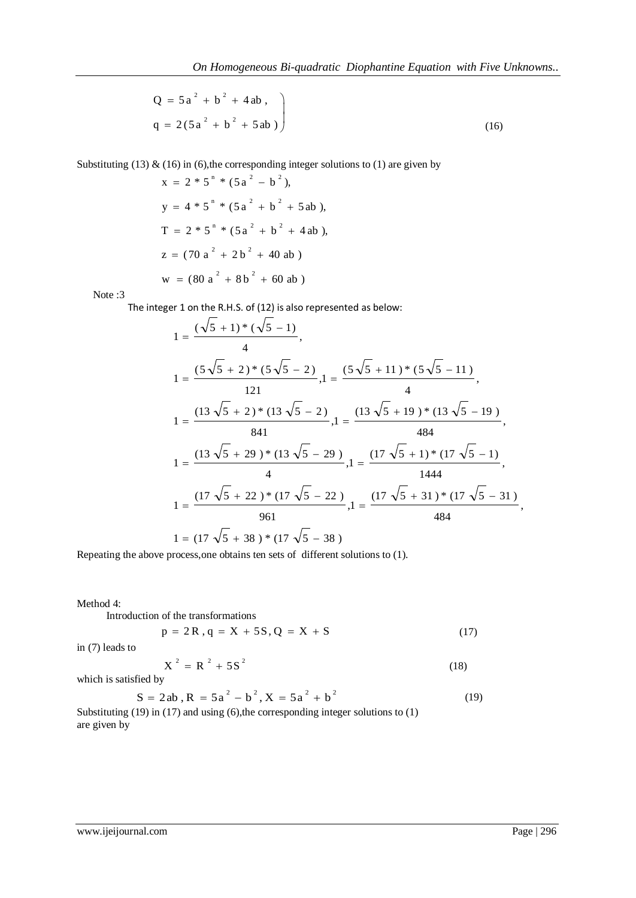$$
Q = 5a2 + b2 + 4ab,
$$
  
q = 2(5a<sup>2</sup> + b<sup>2</sup> + 5ab) (16)

Substituting (13)  $\&$  (16) in (6), the corresponding integer solutions to (1) are given by

$$
x = 2 * 5n * (5a2 - b2),
$$
  
\n
$$
y = 4 * 5n * (5a2 + b2 + 5ab),
$$
  
\n
$$
T = 2 * 5n * (5a2 + b2 + 4ab),
$$
  
\n
$$
z = (70 a2 + 2b2 + 40ab)
$$
  
\n
$$
w = (80 a2 + 8b2 + 60ab)
$$

Note :3

The integer 1 on the R.H.S. of (12) is also represented as below:

$$
1 = \frac{(\sqrt{5} + 1) * (\sqrt{5} - 1)}{4},
$$
  
\n
$$
1 = \frac{(5\sqrt{5} + 2) * (5\sqrt{5} - 2)}{121}, 1 = \frac{(5\sqrt{5} + 11) * (5\sqrt{5} - 11)}{4},
$$
  
\n
$$
1 = \frac{(13\sqrt{5} + 2) * (13\sqrt{5} - 2)}{841}, 1 = \frac{(13\sqrt{5} + 19) * (13\sqrt{5} - 19)}{44},
$$
  
\n
$$
1 = \frac{(13\sqrt{5} + 29) * (13\sqrt{5} - 29)}{4}, 1 = \frac{(17\sqrt{5} + 1) * (17\sqrt{5} - 1)}{1444},
$$
  
\n
$$
1 = \frac{(17\sqrt{5} + 22) * (17\sqrt{5} - 22)}{961}, 1 = \frac{(17\sqrt{5} + 31) * (17\sqrt{5} - 31)}{484},
$$
  
\n
$$
1 = (17\sqrt{5} + 38) * (17\sqrt{5} - 38)
$$

Repeating the above process,one obtains ten sets of different solutions to (1).

Method 4:

Introduction of the transformations

$$
p = 2R, q = X + 5S, Q = X + S \tag{17}
$$

in (7) leads to

$$
X^2 = R^2 + 5S^2 \tag{18}
$$

which is satisfied by

$$
S = 2ab, R = 5a2 - b2, X = 5a2 + b2
$$
 (19)

Substituting (19) in (17) and using (6), the corresponding integer solutions to (1) are given by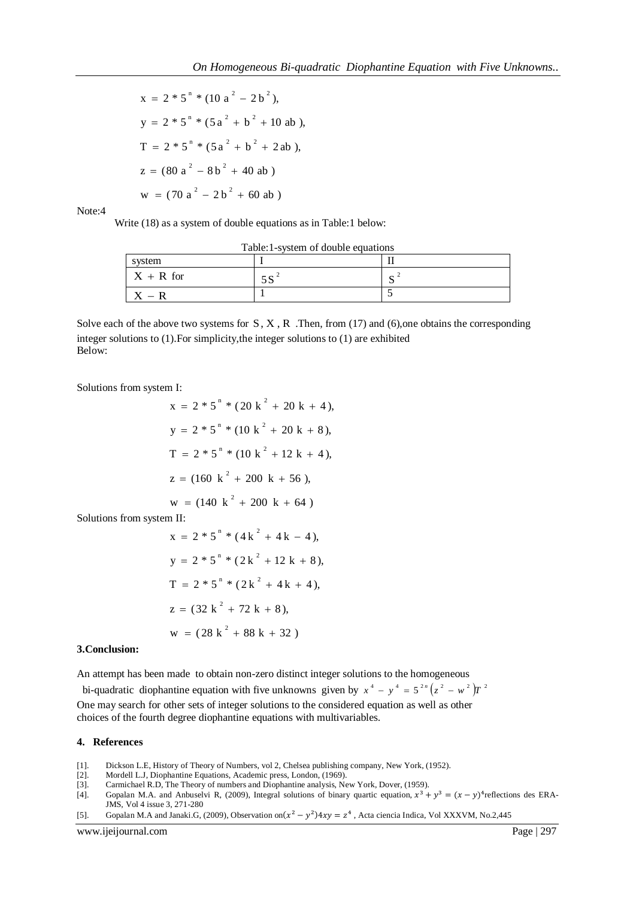$$
x = 2 * 5n * (10 a2 - 2 b2),
$$
  
\n
$$
y = 2 * 5n * (5 a2 + b2 + 10 ab),
$$
  
\n
$$
T = 2 * 5n * (5 a2 + b2 + 2 ab),
$$
  
\n
$$
z = (80 a2 - 8b2 + 40 ab)
$$
  
\n
$$
w = (70 a2 - 2b2 + 60 ab)
$$

Note:4

Write (18) as a system of double equations as in Table:1 below:

| system       |   |
|--------------|---|
| $X + R$ for  | ັ |
| $\mathbf{v}$ |   |

Solve each of the above two systems for  $S, X, R$ . Then, from (17) and (6), one obtains the corresponding integer solutions to (1).For simplicity,the integer solutions to (1) are exhibited Below:

Solutions from system I:

$$
x = 2 * 5n * (20 k2 + 20 k + 4),
$$
  
\n
$$
y = 2 * 5n * (10 k2 + 20 k + 8),
$$
  
\n
$$
T = 2 * 5n * (10 k2 + 12 k + 4),
$$
  
\n
$$
z = (160 k2 + 200 k + 56),
$$
  
\n
$$
w = (140 k2 + 200 k + 64)
$$

Solutions from system II:

$$
x = 2 * 5n * (4k2 + 4k - 4),
$$
  
\n
$$
y = 2 * 5n * (2k2 + 12k + 8),
$$
  
\n
$$
T = 2 * 5n * (2k2 + 4k + 4),
$$
  
\n
$$
z = (32k2 + 72k + 8),
$$
  
\n
$$
w = (28k2 + 88k + 32)
$$

#### **3.Conclusion:**

An attempt has been made to obtain non-zero distinct integer solutions to the homogeneous

bi-quadratic diophantine equation with five unknowns given by  $x^4 - y^4 = 5^{2n}(z^2 - w^2)T^2$ One may search for other sets of integer solutions to the considered equation as well as other choices of the fourth degree diophantine equations with multivariables.

#### **4. References**

- [1]. Dickson L.E, History of Theory of Numbers, vol 2, Chelsea publishing company, New York, (1952).
- [2]. Mordell L.J, Diophantine Equations, Academic press, London, (1969).
- [3]. Carmichael R.D, The Theory of numbers and Diophantine analysis, New York, Dover, (1959).
- [4]. Gopalan M.A. and Anbuselvi R, (2009), Integral solutions of binary quartic equation,  $x^3 + y^3 = (x y)^4$  reflections des ERA-JMS, Vol 4 issue 3, 271-280
- [5]. Gopalan M.A and Janaki.G, (2009), Observation on  $(x^2 y^2)4xy = z^4$ , Acta ciencia Indica, Vol XXXVM, No.2,445